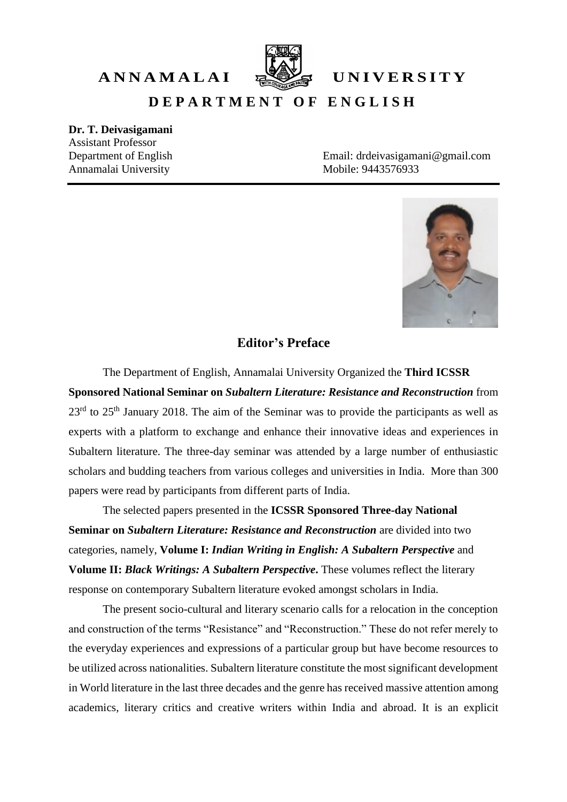

A N N A M A L A I **EXEL** UNIVERSITY

**D E P A R T M E N T O F E N G L I S H**

## **Dr. T. Deivasigamani**

Assistant Professor Annamalai University Mobile: 9443576933

Department of English Email: drdeivasigamani@gmail.com



## **Editor's Preface**

The Department of English, Annamalai University Organized the **Third ICSSR Sponsored National Seminar on** *Subaltern Literature: Resistance and Reconstruction* from  $23<sup>rd</sup>$  to  $25<sup>th</sup>$  January 2018. The aim of the Seminar was to provide the participants as well as experts with a platform to exchange and enhance their innovative ideas and experiences in Subaltern literature. The three-day seminar was attended by a large number of enthusiastic scholars and budding teachers from various colleges and universities in India. More than 300 papers were read by participants from different parts of India.

The selected papers presented in the **ICSSR Sponsored Three-day National Seminar on** *Subaltern Literature: Resistance and Reconstruction* are divided into two categories, namely, **Volume I:** *Indian Writing in English: A Subaltern Perspective* and **Volume II:** *Black Writings: A Subaltern Perspective***.** These volumes reflect the literary response on contemporary Subaltern literature evoked amongst scholars in India.

The present socio-cultural and literary scenario calls for a relocation in the conception and construction of the terms "Resistance" and "Reconstruction." These do not refer merely to the everyday experiences and expressions of a particular group but have become resources to be utilized across nationalities. Subaltern literature constitute the most significant development in World literature in the last three decades and the genre has received massive attention among academics, literary critics and creative writers within India and abroad. It is an explicit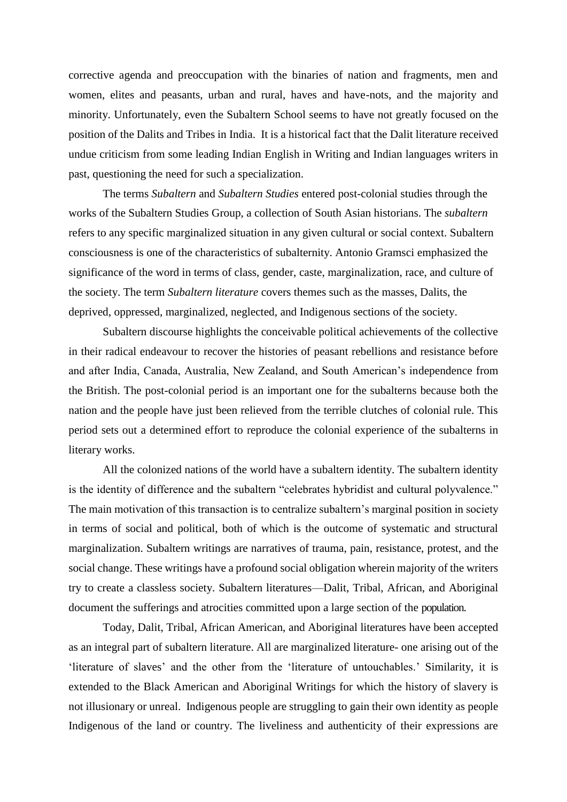corrective agenda and preoccupation with the binaries of nation and fragments, men and women, elites and peasants, urban and rural, haves and have-nots, and the majority and minority. Unfortunately, even the Subaltern School seems to have not greatly focused on the position of the Dalits and Tribes in India. It is a historical fact that the Dalit literature received undue criticism from some leading Indian English in Writing and Indian languages writers in past, questioning the need for such a specialization.

The terms *Subaltern* and *Subaltern Studies* entered post-colonial studies through the works of the Subaltern Studies Group, a collection of South Asian historians. The *subaltern* refers to any specific marginalized situation in any given cultural or social context. Subaltern consciousness is one of the characteristics of subalternity. Antonio Gramsci emphasized the significance of the word in terms of class, gender, caste, marginalization, race, and culture of the society. The term *Subaltern literature* covers themes such as the masses, Dalits, the deprived, oppressed, marginalized, neglected, and Indigenous sections of the society.

Subaltern discourse highlights the conceivable political achievements of the collective in their radical endeavour to recover the histories of peasant rebellions and resistance before and after India, Canada, Australia, New Zealand, and South American's independence from the British. The post-colonial period is an important one for the subalterns because both the nation and the people have just been relieved from the terrible clutches of colonial rule. This period sets out a determined effort to reproduce the colonial experience of the subalterns in literary works.

All the colonized nations of the world have a subaltern identity. The subaltern identity is the identity of difference and the subaltern "celebrates hybridist and cultural polyvalence." The main motivation of this transaction is to centralize subaltern's marginal position in society in terms of social and political, both of which is the outcome of systematic and structural marginalization. Subaltern writings are narratives of trauma, pain, resistance, protest, and the social change. These writings have a profound social obligation wherein majority of the writers try to create a classless society. Subaltern literatures—Dalit, Tribal, African, and Aboriginal document the sufferings and atrocities committed upon a large section of the population.

Today, Dalit, Tribal, African American, and Aboriginal literatures have been accepted as an integral part of subaltern literature. All are marginalized literature- one arising out of the 'literature of slaves' and the other from the 'literature of untouchables.' Similarity, it is extended to the Black American and Aboriginal Writings for which the history of slavery is not illusionary or unreal. Indigenous people are struggling to gain their own identity as people Indigenous of the land or country. The liveliness and authenticity of their expressions are